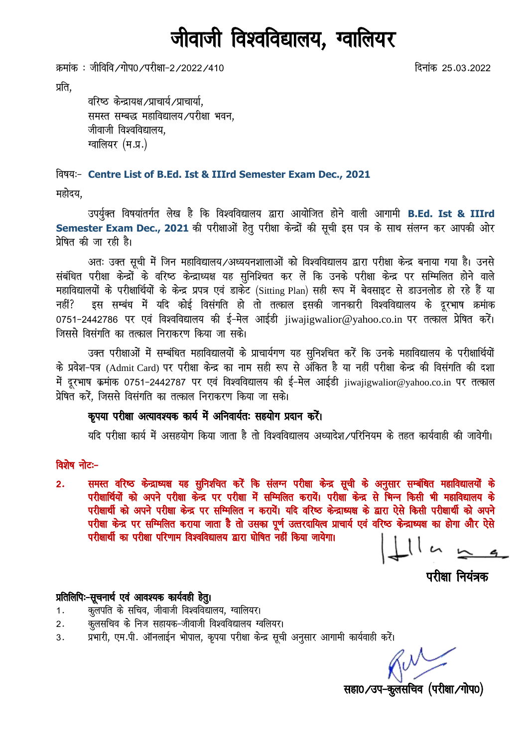# जीवाजी विश्वविद्यालय, ग्वालियर

क्रमांक : जीविवि ∕गोप0 ⁄परीक्षा−2 /2022 /410 fnuk ad 25.03.2022

प्रति.

वरिष्ठ केन्द्रायक्ष /प्राचार्य, याचार्या, समस्त सम्बद्ध महाविद्यालय/परीक्षा भवन, जीवाजी विश्वविद्यालय, ग्वालियर (म.प्र.)

fo"k;%& **Centre List of B.Ed. Ist & IIIrd Semester Exam Dec., 2021**

महोदय.

उपर्युक्त विषयांतर्गत लेख है कि विश्वविद्यालय द्वारा आयोजित होने वाली आगामी B.Ed. Ist & IIIrd Semester Exam Dec., 2021 की परीक्षाओं हेतू परीक्षा केन्द्रों की सूची इस पत्र के साथ संलग्न कर आपकी ओर प्रेषित की जा रही है।

अतः उक्त सूची में जिन महाविद्यालय/अध्ययनशालाओं को विश्वविद्यालय द्वारा परीक्षा केन्द्र बनाया गया है। उनसे संबंधित परीक्षा केन्द्रों के वरिष्ठ केन्द्राध्यक्ष यह सुनिश्चित कर लें कि उनके परीक्षा केन्द्र पर सम्मिलित होने वाले महाविद्यालयों के परीक्षार्थियों के केन्द्र प्रपत्र एवं डाकेट (Sitting Plan) सही रूप में बेवसाइट से डाउनलोड हो रहे हैं या नहीं? इस सम्बंध में यदि कोई विसंगति हो तो तत्काल इसकी जानकारी विश्वविद्यालय के दूरभाष क्रमांक 0751-2442786 पर एवं विश्वविद्यालय की ई-मेल आईडी jiwajigwalior@yahoo.co.in पर तत्काल प्रेषित करें। जिससे विसंगति का तत्काल निराकरण किया जा सके।

उक्त परीक्षाओं में सम्बंधित महाविद्यालयों के प्राचार्यगण यह सुनिशचित करें कि उनके महाविद्यालय के परीक्षार्थियों के प्रवेश-पत्र (Admit Card) पर परीक्षा केन्द्र का नाम सही रूप से अँकित है या नहीं परीक्षा केन्द्र की विसंगति की दशा में दूरभाष क्रमांक 0751-2442787 पर एवं विश्वविद्यालय की ई-मेल आईडी jiwajigwalior@yahoo.co.in पर तत्काल प्रेषित करें, जिससे विसंगति का तत्काल निराकरण किया जा सके।

# कृपया परीक्षा अत्यावश्यक कार्य में अनिवार्यतः सहयोग प्रदान करें।

यदि परीक्षा कार्य में असहयोग किया जाता है तो विश्वविद्यालय अध्यादेश /परिनियम के तहत कार्यवाही की जावेगी।

विशेष नोटः-

2. समस्त वरिष्ठ केन्द्राध्यक्ष यह सुनिशीचत करें कि संलग्न परीक्षा केन्द्र सूची के अनुसार सम्बंधित महाविद्यालयों के परीक्षार्थियों को अपने परीक्षा केन्द्र पर परीक्षा में सम्मिलित करायें। परीक्षा केन्द्र से भिन्न किसी भी महाविद्यालय के परीक्षार्थी को अपने परीक्षा केन्द्र पर सम्मिलित न करायें। यदि वरिष्ठ केन्द्राध्यक्ष के द्वारा ऐसे किसी परीक्षार्थी को अपने परीक्षा केन्द्र पर सम्मिलित कराया जाता है तो उसका पूर्ण उत्तरदायित्व प्राचार्य एवं वरिष्ठ केन्द्राध्यक्ष का होगा और ऐसे परीक्षार्थी का परीक्षा परिणाम विश्वविद्यालय द्वारा घोषित नहीं किया जायेगा।

परीक्षा नियंत्रक

# प्रतिलिपिः-सूचनार्थ एवं आवश्यक कार्यवही हेतु।

- 1. कुलपति के सचिव, जीवाजी विश्वविद्यालय, ग्वालियर।
- 2. कुलसचिव के निज सहायक-जीवाजी विश्वविद्यालय ग्वलियर।
- 3. प्रभारी, एम.पी. ऑनलाईन भोपाल, कृपया परीक्षा केन्द्र सूची अनुसार आगामी कार्यवाही करें।

सहा0/उप-कूलसचिव (परीक्षा/गोप0)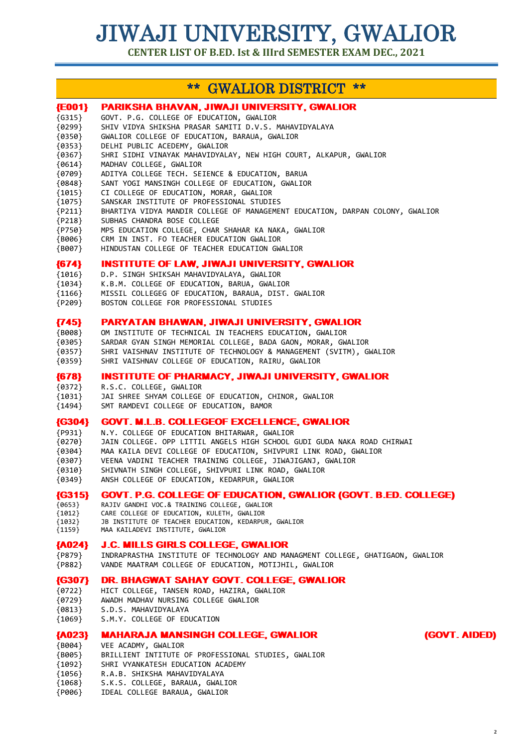**CENTER LIST OF B.ED. Ist & IIIrd SEMESTER EXAM DEC., 2021**

# \*\* GWALIOR DISTRICT \*\*

| ${E001}$                                                                         | <b>PARIKSHA BHAVAN, JIWAJI UNIVERSITY, GWALIOR</b>                                                                                                                                                                                                                                |
|----------------------------------------------------------------------------------|-----------------------------------------------------------------------------------------------------------------------------------------------------------------------------------------------------------------------------------------------------------------------------------|
| $\{G315\}$                                                                       | GOVT. P.G. COLLEGE OF EDUCATION, GWALIOR                                                                                                                                                                                                                                          |
| ${0299}$                                                                         | SHIV VIDYA SHIKSHA PRASAR SAMITI D.V.S. MAHAVIDYALAYA                                                                                                                                                                                                                             |
| ${0350}$                                                                         | GWALIOR COLLEGE OF EDUCATION, BARAUA, GWALIOR                                                                                                                                                                                                                                     |
| ${0353}$                                                                         | DELHI PUBLIC ACEDEMY, GWALIOR                                                                                                                                                                                                                                                     |
| {0367}                                                                           | SHRI SIDHI VINAYAK MAHAVIDYALAY, NEW HIGH COURT, ALKAPUR, GWALIOR                                                                                                                                                                                                                 |
| ${6614}$                                                                         | MADHAV COLLEGE, GWALIOR                                                                                                                                                                                                                                                           |
| ${0709}$                                                                         | ADITYA COLLEGE TECH. SEIENCE & EDUCATION, BARUA                                                                                                                                                                                                                                   |
| ${9848}$                                                                         | SANT YOGI MANSINGH COLLEGE OF EDUCATION, GWALIOR                                                                                                                                                                                                                                  |
| ${1015}$                                                                         | CI COLLEGE OF EDUCATION, MORAR, GWALIOR                                                                                                                                                                                                                                           |
| ${1075}$                                                                         | SANSKAR INSTITUTE OF PROFESSIONAL STUDIES                                                                                                                                                                                                                                         |
| ${P211}$                                                                         | BHARTIYA VIDYA MANDIR COLLEGE OF MANAGEMENT EDUCATION, DARPAN COLONY, GWALIOR                                                                                                                                                                                                     |
| ${P218}$                                                                         | SUBHAS CHANDRA BOSE COLLEGE                                                                                                                                                                                                                                                       |
| {P750}                                                                           | MPS EDUCATION COLLEGE, CHAR SHAHAR KA NAKA, GWALIOR                                                                                                                                                                                                                               |
| {B006}                                                                           | CRM IN INST. FO TEACHER EDUCATION GWALIOR                                                                                                                                                                                                                                         |
| ${BO07}$                                                                         | HINDUSTAN COLLEGE OF TEACHER EDUCATION GWALIOR                                                                                                                                                                                                                                    |
| ${674}$                                                                          | <b>INSTITUTE OF LAW, JIWAJI UNIVERSITY, GWALIOR</b>                                                                                                                                                                                                                               |
| ${1016}$                                                                         | D.P. SINGH SHIKSAH MAHAVIDYALAYA, GWALIOR                                                                                                                                                                                                                                         |
| ${1034}$                                                                         | K.B.M. COLLEGE OF EDUCATION, BARUA, GWALIOR                                                                                                                                                                                                                                       |
| ${1166}$                                                                         | MISSIL COLLEGEG OF EDUCATION, BARAUA, DIST. GWALIOR                                                                                                                                                                                                                               |
| ${P209}$                                                                         | BOSTON COLLEGE FOR PROFESSIONAL STUDIES                                                                                                                                                                                                                                           |
| ${745}$                                                                          | <b>PARYATAN BHAWAN, JIWAJI UNIVERSITY, GWALIOR</b>                                                                                                                                                                                                                                |
| ${BO08}$                                                                         | OM INSTITUTE OF TECHNICAL IN TEACHERS EDUCATION, GWALIOR                                                                                                                                                                                                                          |
| ${0305}$                                                                         | SARDAR GYAN SINGH MEMORIAL COLLEGE, BADA GAON, MORAR, GWALIOR                                                                                                                                                                                                                     |
| ${0357}$                                                                         | SHRI VAISHNAV INSTITUTE OF TECHNOLOGY & MANAGEMENT (SVITM), GWALIOR                                                                                                                                                                                                               |
| ${0359}$                                                                         | SHRI VAISHNAV COLLEGE OF EDUCATION, RAIRU, GWALIOR                                                                                                                                                                                                                                |
| ${678}$                                                                          | <b>INSTITUTE OF PHARMACY, JIWAJI UNIVERSITY, GWALIOR</b>                                                                                                                                                                                                                          |
| ${0372}$                                                                         | R.S.C. COLLEGE, GWALIOR                                                                                                                                                                                                                                                           |
| ${1031}$                                                                         | JAI SHREE SHYAM COLLEGE OF EDUCATION, CHINOR, GWALIOR                                                                                                                                                                                                                             |
| {1494}                                                                           | SMT RAMDEVI COLLEGE OF EDUCATION, BAMOR                                                                                                                                                                                                                                           |
| ${G304}$                                                                         | <b>GOVT. M.L.B. COLLEGEOF EXCELLENCE, GWALIOR</b>                                                                                                                                                                                                                                 |
| ${P931}$                                                                         | N.Y. COLLEGE OF EDUCATION BHITARWAR, GWALIOR                                                                                                                                                                                                                                      |
| ${0270}$                                                                         | JAIN COLLEGE. OPP LITTIL ANGELS HIGH SCHOOL GUDI GUDA NAKA ROAD CHIRWAI                                                                                                                                                                                                           |
| {0304}                                                                           | MAA KAILA DEVI COLLEGE OF EDUCATION, SHIVPURI LINK ROAD, GWALIOR                                                                                                                                                                                                                  |
| {0307}                                                                           | VEENA VADINI TEACHER TRAINING COLLEGE, JIWAJIGANJ, GWALIOR                                                                                                                                                                                                                        |
| ${0310}$                                                                         | SHIVNATH SINGH COLLEGE, SHIVPURI LINK ROAD, GWALIOR                                                                                                                                                                                                                               |
| {0349}                                                                           | ANSH COLLEGE OF EDUCATION, KEDARPUR, GWALIOR                                                                                                                                                                                                                                      |
| ${G315}$                                                                         | GOVT. P.G. COLLEGE OF EDUCATION, GWALIOR (GOVT. B.ED. COLLEGE)                                                                                                                                                                                                                    |
| ${0653}$                                                                         | RAJIV GANDHI VOC.& TRAINING COLLEGE, GWALIOR                                                                                                                                                                                                                                      |
| ${1012}$                                                                         | CARE COLLEGE OF EDUCATION, KULETH, GWALIOR                                                                                                                                                                                                                                        |
| ${1032}$                                                                         | JB INSTITUTE OF TEACHER EDUCATION, KEDARPUR, GWALIOR                                                                                                                                                                                                                              |
| ${1159}$                                                                         | MAA KAILADEVI INSTITUTE, GWALIOR                                                                                                                                                                                                                                                  |
| ${AO24}$                                                                         | <b>J.C. MILLS GIRLS COLLEGE, GWALIOR</b>                                                                                                                                                                                                                                          |
| ${P879}$                                                                         | INDRAPRASTHA INSTITUTE OF TECHNOLOGY AND MANAGMENT COLLEGE, GHATIGAON, GWALIOR                                                                                                                                                                                                    |
| {P882}                                                                           | VANDE MAATRAM COLLEGE OF EDUCATION, MOTIJHIL, GWALIOR                                                                                                                                                                                                                             |
| ${G307}$                                                                         | DR. BHAGWAT SAHAY GOVT. COLLEGE, GWALIOR                                                                                                                                                                                                                                          |
| ${0722}$                                                                         | HICT COLLEGE, TANSEN ROAD, HAZIRA, GWALIOR                                                                                                                                                                                                                                        |
| ${0729}$                                                                         | AWADH MADHAV NURSING COLLEGE GWALIOR                                                                                                                                                                                                                                              |
| ${0813}$                                                                         | S.D.S. MAHAVIDYALAYA                                                                                                                                                                                                                                                              |
| ${1069}$                                                                         | S.M.Y. COLLEGE OF EDUCATION                                                                                                                                                                                                                                                       |
| ${A023}$<br>${BO04}$<br>${BO05}$<br>${1092}$<br>${1056}$<br>${1068}$<br>${P006}$ | (GOVT. AIDED)<br><b>MAHARAJA MANSINGH COLLEGE, GWALIOR</b><br>VEE ACADMY, GWALIOR<br>BRILLIENT INTITUTE OF PROFESSIONAL STUDIES, GWALIOR<br>SHRI VYANKATESH EDUCATION ACADEMY<br>R.A.B. SHIKSHA MAHAVIDYALAYA<br>S.K.S. COLLEGE, BARAUA, GWALIOR<br>IDEAL COLLEGE BARAUA, GWALIOR |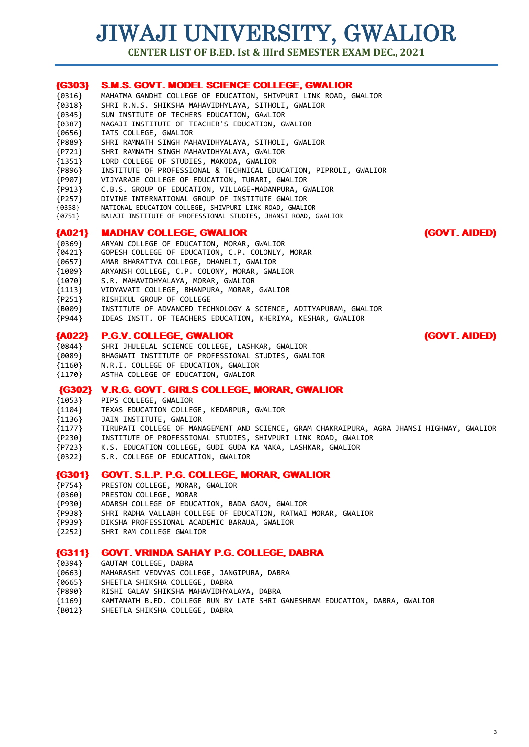**CENTER LIST OF B.ED. Ist & IIIrd SEMESTER EXAM DEC., 2021**

| ${G303}$ | <b>S.M.S. GOVT. MODEL SCIENCE COLLEGE, GWALIOR</b>                |               |
|----------|-------------------------------------------------------------------|---------------|
| ${0316}$ | MAHATMA GANDHI COLLEGE OF EDUCATION, SHIVPURI LINK ROAD, GWALIOR  |               |
| ${0318}$ | SHRI R.N.S. SHIKSHA MAHAVIDHYLAYA, SITHOLI, GWALIOR               |               |
| ${0345}$ | SUN INSTIUTE OF TECHERS EDUCATION, GAWLIOR                        |               |
| ${9387}$ | NAGAJI INSTITUTE OF TEACHER'S EDUCATION, GWALIOR                  |               |
| ${0656}$ | IATS COLLEGE, GWALIOR                                             |               |
| ${P889}$ | SHRI RAMNATH SINGH MAHAVIDHYALAYA, SITHOLI, GWALIOR               |               |
| ${P721}$ | SHRI RAMNATH SINGH MAHAVIDHYALAYA, GWALIOR                        |               |
| ${1351}$ | LORD COLLEGE OF STUDIES, MAKODA, GWALIOR                          |               |
| ${P896}$ | INSTITUTE OF PROFESSIONAL & TECHNICAL EDUCATION, PIPROLI, GWALIOR |               |
| ${P907}$ | VIJYARAJE COLLEGE OF EDUCATION, TURARI, GWALIOR                   |               |
| ${P913}$ | C.B.S. GROUP OF EDUCATION, VILLAGE-MADANPURA, GWALIOR             |               |
| ${P257}$ | DIVINE INTERNATIONAL GROUP OF INSTITUTE GWALIOR                   |               |
| {0358}   | NATIONAL EDUCATION COLLEGE, SHIVPURI LINK ROAD, GWALIOR           |               |
| {0751}   | BALAJI INSTITUTE OF PROFESSIONAL STUDIES, JHANSI ROAD, GWALIOR    |               |
| ${A021}$ | <b>MADHAV COLLEGE, GWALIOR</b>                                    | (GOVT. AIDED) |
| ${0369}$ | ARYAN COLLEGE OF EDUCATION, MORAR, GWALIOR                        |               |
| ${6421}$ | GOPESH COLLEGE OF EDUCATION, C.P. COLONLY, MORAR                  |               |
| ${0657}$ | AMAR BHARATIYA COLLEGE, DHANELI, GWALIOR                          |               |
| ${1009}$ | ARYANSH COLLEGE, C.P. COLONY, MORAR, GWALIOR                      |               |
| ${1070}$ | S.R. MAHAVIDHYALAYA, MORAR, GWALIOR                               |               |
| ${1113}$ | VIDYAVATI COLLEGE, BHANPURA, MORAR, GWALIOR                       |               |
| ${P251}$ | RISHIKUL GROUP OF COLLEGE                                         |               |
| ${BO09}$ | INSTITUTE OF ADVANCED TECHNOLOGY & SCIENCE, ADITYAPURAM, GWALIOR  |               |
| ${P944}$ | IDEAS INSTT. OF TEACHERS EDUCATION, KHERIYA, KESHAR, GWALIOR      |               |

### {A022} P.G.V. COLLEGE, GWALIOR (GOVT. AIDED)

{0844} SHRI JHULELAL SCIENCE COLLEGE, LASHKAR, GWALIOR

- {0089} BHAGWATI INSTITUTE OF PROFESSIONAL STUDIES, GWALIOR
- {1160} N.R.I. COLLEGE OF EDUCATION, GWALIOR
- ASTHA COLLEGE OF EDUCATION, GWALIOR

#### {G302} V.R.G. GOVT. GIRLS COLLEGE, MORAR, GWALIOR

- {1053} PIPS COLLEGE, GWALIOR
- {1104} TEXAS EDUCATION COLLEGE, KEDARPUR, GWALIOR
- JAIN INSTITUTE, GWALIOR
- {1177} TIRUPATI COLLEGE OF MANAGEMENT AND SCIENCE, GRAM CHAKRAIPURA, AGRA JHANSI HIGHWAY, GWALIOR
- {P230} INSTITUTE OF PROFESSIONAL STUDIES, SHIVPURI LINK ROAD, GWALIOR
- {P723} K.S. EDUCATION COLLEGE, GUDI GUDA KA NAKA, LASHKAR, GWALIOR
- {0322} S.R. COLLEGE OF EDUCATION, GWALIOR

#### {G301} GOVT. S.L.P. P.G. COLLEGE, MORAR, GWALIOR

- {P754} PRESTON COLLEGE, MORAR, GWALIOR
- {0360} PRESTON COLLEGE, MORAR
- {P930} ADARSH COLLEGE OF EDUCATION, BADA GAON, GWALIOR
- {P938} SHRI RADHA VALLABH COLLEGE OF EDUCATION, RATWAI MORAR, GWALIOR
- {P939} DIKSHA PROFESSIONAL ACADEMIC BARAUA, GWALIOR
- {2252} SHRI RAM COLLEGE GWALIOR

### {G311} GOVT. VRINDA SAHAY P.G. COLLEGE, DABRA

- {0394} GAUTAM COLLEGE, DABRA
- {0663} MAHARASHI VEDVYAS COLLEGE, JANGIPURA, DABRA
- {0665} SHEETLA SHIKSHA COLLEGE, DABRA
- {P890} RISHI GALAV SHIKSHA MAHAVIDHYALAYA, DABRA
- {1169} KAMTANATH B.ED. COLLEGE RUN BY LATE SHRI GANESHRAM EDUCATION, DABRA, GWALIOR
- {B012} SHEETLA SHIKSHA COLLEGE, DABRA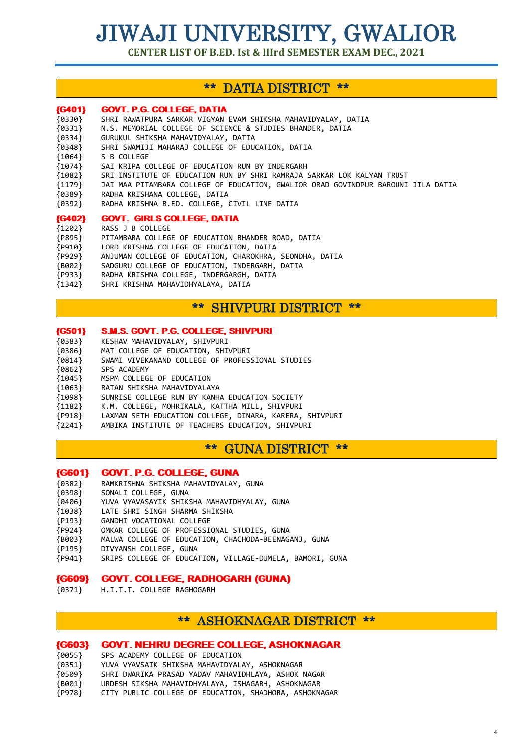**CENTER LIST OF B.ED. Ist & IIIrd SEMESTER EXAM DEC., 2021**

# \*\* DATIA DISTRICT \*\*

# {G401} GOVT. P.G. COLLEGE, DATIA

| ${0330}$      | SHRI RAWATPURA SARKAR VIGYAN EVAM SHIKSHA MAHAVIDYALAY, DATIA                     |
|---------------|-----------------------------------------------------------------------------------|
| ${0331}$      | N.S. MEMORIAL COLLEGE OF SCIENCE & STUDIES BHANDER, DATIA                         |
| ${0334}$      | GURUKUL SHIKSHA MAHAVIDYALAY, DATIA                                               |
| ${0348}$      | SHRI SWAMIJI MAHARAJ COLLEGE OF EDUCATION, DATIA                                  |
| ${1064}$      | S B COLLEGE                                                                       |
| ${1074}$      | SAI KRIPA COLLEGE OF EDUCATION RUN BY INDERGARH                                   |
| ${1082}$      | SRI INSTITUTE OF EDUCATION RUN BY SHRI RAMRAJA SARKAR LOK KALYAN TRUST            |
| ${1179}$      | JAI MAA PITAMBARA COLLEGE OF EDUCATION, GWALIOR ORAD GOVINDPUR BAROUNI JILA DATIA |
| ${0389}$      | RADHA KRISHANA COLLEGE, DATIA                                                     |
| ${0392}$      | RADHA KRISHNA B.ED. COLLEGE, CIVIL LINE DATIA                                     |
| <b>{G402}</b> | <b>GOVT. GIRLS COLLEGE, DATIA</b>                                                 |
| ${1202}$      | RASS J B COLLEGE                                                                  |
| ${P895}$      | PITAMBARA COLLEGE OF EDUCATION BHANDER ROAD, DATIA                                |
| ${P910}$      | LORD KRISHNA COLLEGE OF EDUCATION, DATIA                                          |
| ${P929}$      | ANJUMAN COLLEGE OF EDUCATION, CHAROKHRA, SEONDHA, DATIA                           |
|               |                                                                                   |

- 
- {B002} SADGURU COLLEGE OF EDUCATION, INDERGARH, DATIA
- {P933} RADHA KRISHNA COLLEGE, INDERGARGH, DATIA
- {1342} SHRI KRISHNA MAHAVIDHYALAYA, DATIA

# \*\* SHIVPURI DISTRICT \*\*

#### {G501} S.M.S. GOVT. P.G. COLLEGE, SHIVPURI

- {0383} KESHAV MAHAVIDYALAY, SHIVPURI
- {0386} MAT COLLEGE OF EDUCATION, SHIVPURI
- {0814} SWAMI VIVEKANAND COLLEGE OF PROFESSIONAL STUDIES
- {0862} SPS ACADEMY
- {1045} MSPM COLLEGE OF EDUCATION
- {1063} RATAN SHIKSHA MAHAVIDYALAYA
- {1098} SUNRISE COLLEGE RUN BY KANHA EDUCATION SOCIETY
- {1182} K.M. COLLEGE, MOHRIKALA, KATTHA MILL, SHIVPURI
- {P918} LAXMAN SETH EDUCATION COLLEGE, DINARA, KARERA, SHIVPURI
- {2241} AMBIKA INSTITUTE OF TEACHERS EDUCATION, SHIVPURI

\*\* GUNA DISTRICT \*\*

#### {G601} GOVT. P.G. COLLEGE, GUNA

- {0382} RAMKRISHNA SHIKSHA MAHAVIDYALAY, GUNA
- {0398} SONALI COLLEGE, GUNA
- {0406} YUVA VYAVASAYIK SHIKSHA MAHAVIDHYALAY, GUNA
- {1038} LATE SHRI SINGH SHARMA SHIKSHA
- {P193} GANDHI VOCATIONAL COLLEGE
- {P924} OMKAR COLLEGE OF PROFESSIONAL STUDIES, GUNA
- {B003} MALWA COLLEGE OF EDUCATION, CHACHODA-BEENAGANJ, GUNA
- {P195} DIVYANSH COLLEGE, GUNA<br>{P941} SRIPS COLLEGE OF EDUCA
- SRIPS COLLEGE OF EDUCATION, VILLAGE-DUMELA, BAMORI, GUNA

### {G609} GOVT. COLLEGE, RADHOGARH (GUNA)

{0371} H.I.T.T. COLLEGE RAGHOGARH

# \*\* ASHOKNAGAR DISTRICT \*\*

### {G603} GOVT. NEHRU DEGREE COLLEGE, ASHOKNAGAR

- {0055} SPS ACADEMY COLLEGE OF EDUCATION
- {0351} YUVA VYAVSAIK SHIKSHA MAHAVIDYALAY, ASHOKNAGAR
- {0509} SHRI DWARIKA PRASAD YADAV MAHAVIDHLAYA, ASHOK NAGAR
- {B001} URDESH SIKSHA MAHAVIDHYALAYA, ISHAGARH, ASHOKNAGAR
- {P978} CITY PUBLIC COLLEGE OF EDUCATION, SHADHORA, ASHOKNAGAR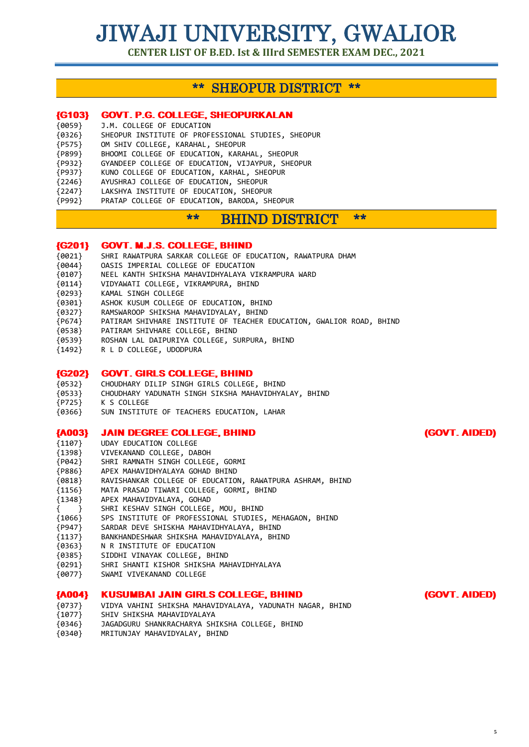**CENTER LIST OF B.ED. Ist & IIIrd SEMESTER EXAM DEC., 2021**

# \*\* SHEOPUR DISTRICT \*\*

# {G103} GOVT. P.G. COLLEGE, SHEOPURKALAN

- {0059} J.M. COLLEGE OF EDUCATION
- SHEOPUR INSTITUTE OF PROFESSIONAL STUDIES, SHEOPUR
- {P575} OM SHIV COLLEGE, KARAHAL, SHEOPUR
- {P899} BHOOMI COLLEGE OF EDUCATION, KARAHAL, SHEOPUR
- {P932} GYANDEEP COLLEGE OF EDUCATION, VIJAYPUR, SHEOPUR
- {P937} KUNO COLLEGE OF EDUCATION, KARHAL, SHEOPUR
- {2246} AYUSHRAJ COLLEGE OF EDUCATION, SHEOPUR
- {2247} LAKSHYA INSTITUTE OF EDUCATION, SHEOPUR
- {P992} PRATAP COLLEGE OF EDUCATION, BARODA, SHEOPUR

# \*\* BHIND DISTRICT \*\*

### {G201} GOVT. M.J.S. COLLEGE, BHIND

- {0021} SHRI RAWATPURA SARKAR COLLEGE OF EDUCATION, RAWATPURA DHAM
- {0044} OASIS IMPERIAL COLLEGE OF EDUCATION
- {0107} NEEL KANTH SHIKSHA MAHAVIDHYALAYA VIKRAMPURA WARD
- {0114} VIDYAWATI COLLEGE, VIKRAMPURA, BHIND
- {0293} KAMAL SINGH COLLEGE
- {0301} ASHOK KUSUM COLLEGE OF EDUCATION, BHIND
- {0327} RAMSWAROOP SHIKSHA MAHAVIDYALAY, BHIND
- {P674} PATIRAM SHIVHARE INSTITUTE OF TEACHER EDUCATION, GWALIOR ROAD, BHIND
- {0538} PATIRAM SHIVHARE COLLEGE, BHIND
- {0539} ROSHAN LAL DAIPURIYA COLLEGE, SURPURA, BHIND
- {1492} R L D COLLEGE, UDODPURA

#### {G202} GOVT. GIRLS COLLEGE, BHIND

{0532} CHOUDHARY DILIP SINGH GIRLS COLLEGE, BHIND {0533} CHOUDHARY YADUNATH SINGH SIKSHA MAHAVIDHYALAY, BHIND {P725} K S COLLEGE {0366} SUN INSTITUTE OF TEACHERS EDUCATION, LAHAR

#### {A003} JAIN DEGREE COLLEGE, BHIND (GOVT. AIDED)

- {1107} UDAY EDUCATION COLLEGE
- {1398} VIVEKANAND COLLEGE, DABOH
- {P042} SHRI RAMNATH SINGH COLLEGE, GORMI
- {P886} APEX MAHAVIDHYALAYA GOHAD BHIND
- {0818} RAVISHANKAR COLLEGE OF EDUCATION, RAWATPURA ASHRAM, BHIND
- {1156} MATA PRASAD TIWARI COLLEGE, GORMI, BHIND
- {1348} APEX MAHAVIDYALAYA, GOHAD
- { } SHRI KESHAV SINGH COLLEGE, MOU, BHIND
- {1066} SPS INSTITUTE OF PROFESSIONAL STUDIES, MEHAGAON, BHIND
- {P947} SARDAR DEVE SHISKHA MAHAVIDHYALAYA, BHIND
- {1137} BANKHANDESHWAR SHIKSHA MAHAVIDYALAYA, BHIND
- {0363} N R INSTITUTE OF EDUCATION
- {0385} SIDDHI VINAYAK COLLEGE, BHIND
- {0291} SHRI SHANTI KISHOR SHIKSHA MAHAVIDHYALAYA
- {0077} SWAMI VIVEKANAND COLLEGE

#### {A004} KUSUMBAI JAIN GIRLS COLLEGE, BHIND (GOVT. AIDED)

- {0737} VIDYA VAHINI SHIKSHA MAHAVIDYALAYA, YADUNATH NAGAR, BHIND
- {1077} SHIV SHIKSHA MAHAVIDYALAYA
- {0346} JAGADGURU SHANKRACHARYA SHIKSHA COLLEGE, BHIND
- {0340} MRITUNJAY MAHAVIDYALAY, BHIND

**5**